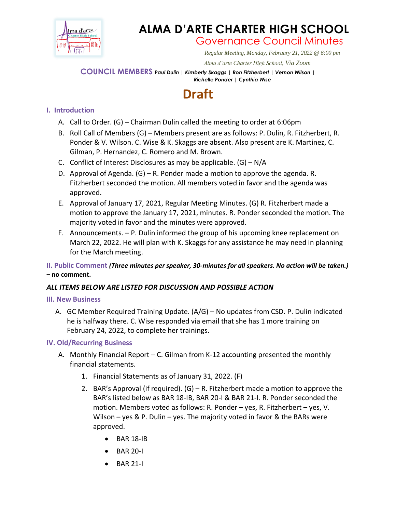

## **ALMA D'ARTE CHARTER HIGH SCHOOL**

Governance Council Minutes

*Regular Meeting, Monday, February 21, 2022 @ 6:00 pm*

 *Alma d'arte Charter High School, Via Zoom*

#### **COUNCIL MEMBERS** *Paul Dulin | Kimberly Skaggs | Ron Fitzherbert <sup>|</sup> Vernon Wilson | Richelle Ponder | Cynthia Wise*

# **Draft**

## **I. Introduction**

- A. Call to Order. (G) Chairman Dulin called the meeting to order at 6:06pm
- B. Roll Call of Members (G) Members present are as follows: P. Dulin, R. Fitzherbert, R. Ponder & V. Wilson. C. Wise & K. Skaggs are absent. Also present are K. Martinez, C. Gilman, P. Hernandez, C. Romero and M. Brown.
- C. Conflict of Interest Disclosures as may be applicable.  $(G) N/A$
- D. Approval of Agenda. (G) R. Ponder made a motion to approve the agenda. R. Fitzherbert seconded the motion. All members voted in favor and the agenda was approved.
- E. Approval of January 17, 2021, Regular Meeting Minutes. (G) R. Fitzherbert made a motion to approve the January 17, 2021, minutes. R. Ponder seconded the motion. The majority voted in favor and the minutes were approved.
- F. Announcements. P. Dulin informed the group of his upcoming knee replacement on March 22, 2022. He will plan with K. Skaggs for any assistance he may need in planning for the March meeting.

### **II. Public Comment** *(Three minutes per speaker, 30-minutes for all speakers. No action will be taken.) –* **no comment.**

### *ALL ITEMS BELOW ARE LISTED FOR DISCUSSION AND POSSIBLE ACTION*

### **III. New Business**

A. GC Member Required Training Update. (A/G) – No updates from CSD. P. Dulin indicated he is halfway there. C. Wise responded via email that she has 1 more training on February 24, 2022, to complete her trainings.

### **IV. Old/Recurring Business**

- A. Monthly Financial Report C. Gilman from K-12 accounting presented the monthly financial statements.
	- 1. Financial Statements as of January 31, 2022. (F)
	- 2. BAR's Approval (if required).  $(G)$  R. Fitzherbert made a motion to approve the BAR's listed below as BAR 18-IB, BAR 20-I & BAR 21-I. R. Ponder seconded the motion. Members voted as follows: R. Ponder – yes, R. Fitzherbert – yes, V. Wilson – yes & P. Dulin – yes. The majority voted in favor & the BARs were approved.
		- BAR 18-IB
		- BAR 20-I
		- BAR 21-I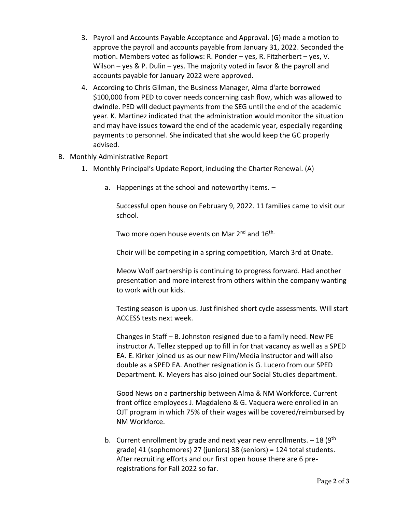- 3. Payroll and Accounts Payable Acceptance and Approval. (G) made a motion to approve the payroll and accounts payable from January 31, 2022. Seconded the motion. Members voted as follows: R. Ponder – yes, R. Fitzherbert – yes, V. Wilson – yes & P. Dulin – yes. The majority voted in favor & the payroll and accounts payable for January 2022 were approved.
- 4. According to Chris Gilman, the Business Manager, Alma d'arte borrowed \$100,000 from PED to cover needs concerning cash flow, which was allowed to dwindle. PED will deduct payments from the SEG until the end of the academic year. K. Martinez indicated that the administration would monitor the situation and may have issues toward the end of the academic year, especially regarding payments to personnel. She indicated that she would keep the GC properly advised.
- B. Monthly Administrative Report
	- 1. Monthly Principal's Update Report, including the Charter Renewal. (A)
		- a. Happenings at the school and noteworthy items. –

Successful open house on February 9, 2022. 11 families came to visit our school.

Two more open house events on Mar 2<sup>nd</sup> and 16<sup>th.</sup>

Choir will be competing in a spring competition, March 3rd at Onate.

Meow Wolf partnership is continuing to progress forward. Had another presentation and more interest from others within the company wanting to work with our kids.

Testing season is upon us. Just finished short cycle assessments. Will start ACCESS tests next week.

Changes in Staff – B. Johnston resigned due to a family need. New PE instructor A. Tellez stepped up to fill in for that vacancy as well as a SPED EA. E. Kirker joined us as our new Film/Media instructor and will also double as a SPED EA. Another resignation is G. Lucero from our SPED Department. K. Meyers has also joined our Social Studies department.

Good News on a partnership between Alma & NM Workforce. Current front office employees J. Magdaleno & G. Vaquera were enrolled in an OJT program in which 75% of their wages will be covered/reimbursed by NM Workforce.

b. Current enrollment by grade and next year new enrollments.  $-18$  (9<sup>th</sup>) grade) 41 (sophomores) 27 (juniors) 38 (seniors) = 124 total students. After recruiting efforts and our first open house there are 6 preregistrations for Fall 2022 so far.